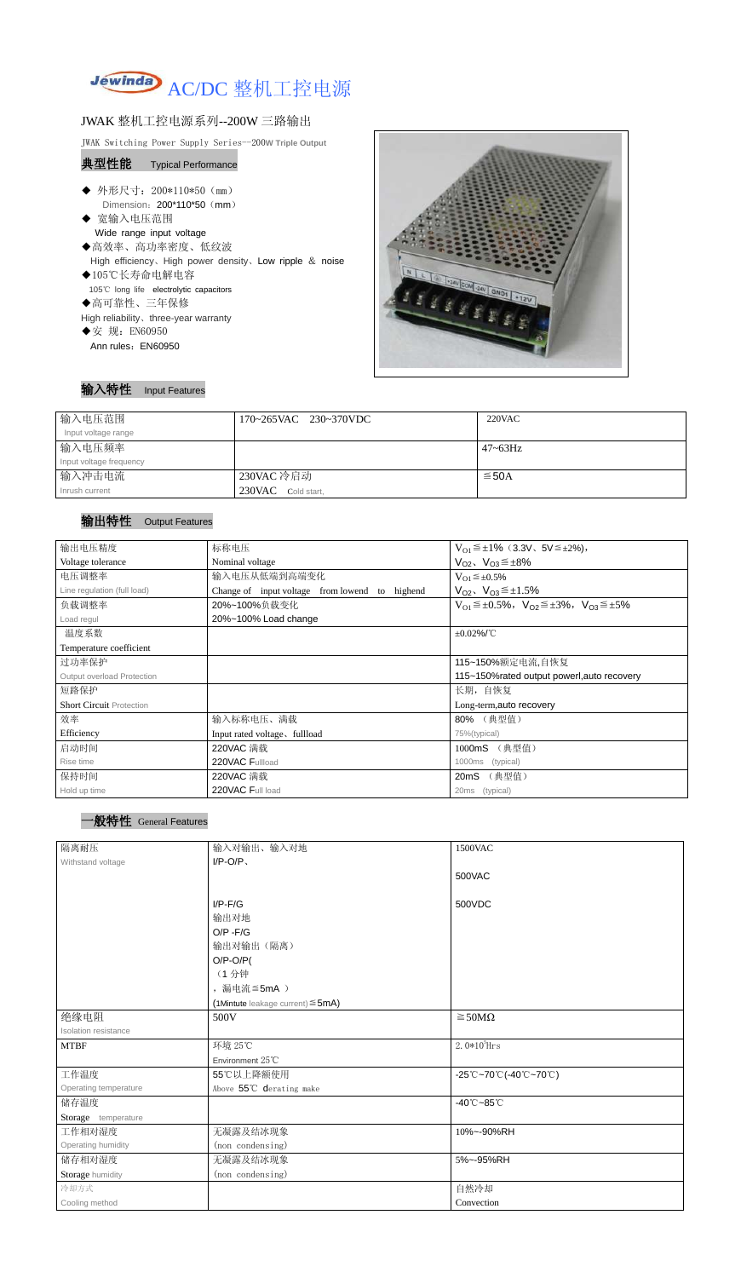

## JWAK 整机工控电源系列--200W 三路输出

JWAK Switching Power Supply Series--200**W Triple Output**

#### 典型性能 Typical Performance

- ◆ 外形尺寸: 200\*110\*50 (mm) Dimension: 200\*110\*50 (mm)
- ◆ 宽输入电压范围 Wide range input voltage ◆高效率、高功率密度、低纹波 High efficiency、High power density、Low ripple & noise
- ◆105℃长寿命电解电容
- 105℃ long life electrolytic capacitors
- ◆高可靠性、三年保修
- High reliability、three-year warranty
- ◆安 规: EN60950
- Ann rules: EN60950



输入特性 Input Features

| 输入电压范围                  | 170~265VAC 230~370VDC | $220$ VAC       |
|-------------------------|-----------------------|-----------------|
| Input voltage range     |                       |                 |
| 输入电压频率                  |                       | $47 \sim 63$ Hz |
| Input voltage frequency |                       |                 |
| 输入冲击电流                  | 230VAC 冷启动            | $≤$ 50A         |
| Inrush current          | 230VAC Cold start,    |                 |

### 输出特性 Output Features

# 一般特性 General Features

| 输出电压精度                            | 标称电压                                                                                    | $V_{01} \leq \pm 1\%$ (3.3V, 5V $\leq \pm 2\%$ ),                       |  |
|-----------------------------------|-----------------------------------------------------------------------------------------|-------------------------------------------------------------------------|--|
| Voltage tolerance                 | Nominal voltage                                                                         | $V_{O2}$ , $V_{O3} \leq \pm 8\%$                                        |  |
| 电压调整率                             | 输入电压从低端到高端变化                                                                            | $V_{O1} \leq \pm 0.5\%$                                                 |  |
| Line regulation (full load)       | Change of input voltage from lowend<br>$V_{O2}$ , $V_{O3} \leq \pm 1.5\%$<br>to highend |                                                                         |  |
| 负载调整率                             | 20%~100%负载变化                                                                            | $V_{01} \leq \pm 0.5\%$ , $V_{02} \leq \pm 3\%$ , $V_{03} \leq \pm 5\%$ |  |
| Load regul                        | 20%~100% Load change                                                                    |                                                                         |  |
| 温度系数                              | $\pm 0.02\%$ /°C                                                                        |                                                                         |  |
| Temperature coefficient           |                                                                                         |                                                                         |  |
| 过功率保护                             | 115~150%额定电流,自恢复                                                                        |                                                                         |  |
| <b>Output overload Protection</b> | 115~150%rated output powerl, auto recovery                                              |                                                                         |  |
| 短路保护                              | 长期, 自恢复                                                                                 |                                                                         |  |
| <b>Short Circuit Protection</b>   |                                                                                         | Long-term, auto recovery                                                |  |
| 效率                                | 输入标称电压、满载                                                                               | 80% (典型值)                                                               |  |
| Efficiency                        | Input rated voltage, fullload                                                           | 75%(typical)                                                            |  |
| 启动时间                              | 220VAC 满载                                                                               | (典型值)<br>1000mS                                                         |  |
| Rise time                         | 220VAC Fullload                                                                         | 1000ms<br>(typical)                                                     |  |
| 保持时间                              | 220VAC 满载                                                                               | (典型值)<br>20mS                                                           |  |
| Hold up time                      | 220VAC Full load                                                                        | (typical)<br>20ms                                                       |  |

| 隔离耐压                  | 输入对输出、输入对地                                | 1500VAC                         |
|-----------------------|-------------------------------------------|---------------------------------|
| Withstand voltage     | $I/P-O/P$                                 |                                 |
|                       |                                           | 500VAC                          |
|                       |                                           |                                 |
|                       | $I/P-F/G$                                 | 500VDC                          |
|                       | 输出对地                                      |                                 |
|                       | $O/P - F/G$                               |                                 |
|                       | 输出对输出(隔离)                                 |                                 |
|                       | $O/P-O/P($                                |                                 |
|                       | (1分钟                                      |                                 |
|                       | ,漏电流 ≦5mA )                               |                                 |
|                       | $(1$ Mintute leakage current) $\leq$ 5mA) |                                 |
| 绝缘电阻                  | 500V                                      | $\geq$ 50M $\Omega$             |
| Isolation resistance  |                                           |                                 |
| <b>MTBF</b>           | 环境 25℃                                    | $2.0*105$ Hrs                   |
|                       | Environment 25°C                          |                                 |
| 工作温度                  | 55℃以上降额使用                                 | -25℃~70℃(-40℃~70℃)              |
| Operating temperature | Above 55°C derating make                  |                                 |
| 储存温度                  |                                           | $-40^{\circ}$ C $-85^{\circ}$ C |
| Storage temperature   |                                           |                                 |
| 工作相对湿度                | 无凝露及结冰现象                                  | 10%~-90%RH                      |
| Operating humidity    | (non condensing)                          |                                 |
| 储存相对湿度                | 无凝露及结冰现象                                  | 5%~-95%RH                       |
| Storage humidity      | (non condensing)                          |                                 |
| 冷却方式                  |                                           | 自然冷却                            |
| Cooling method        |                                           | Convection                      |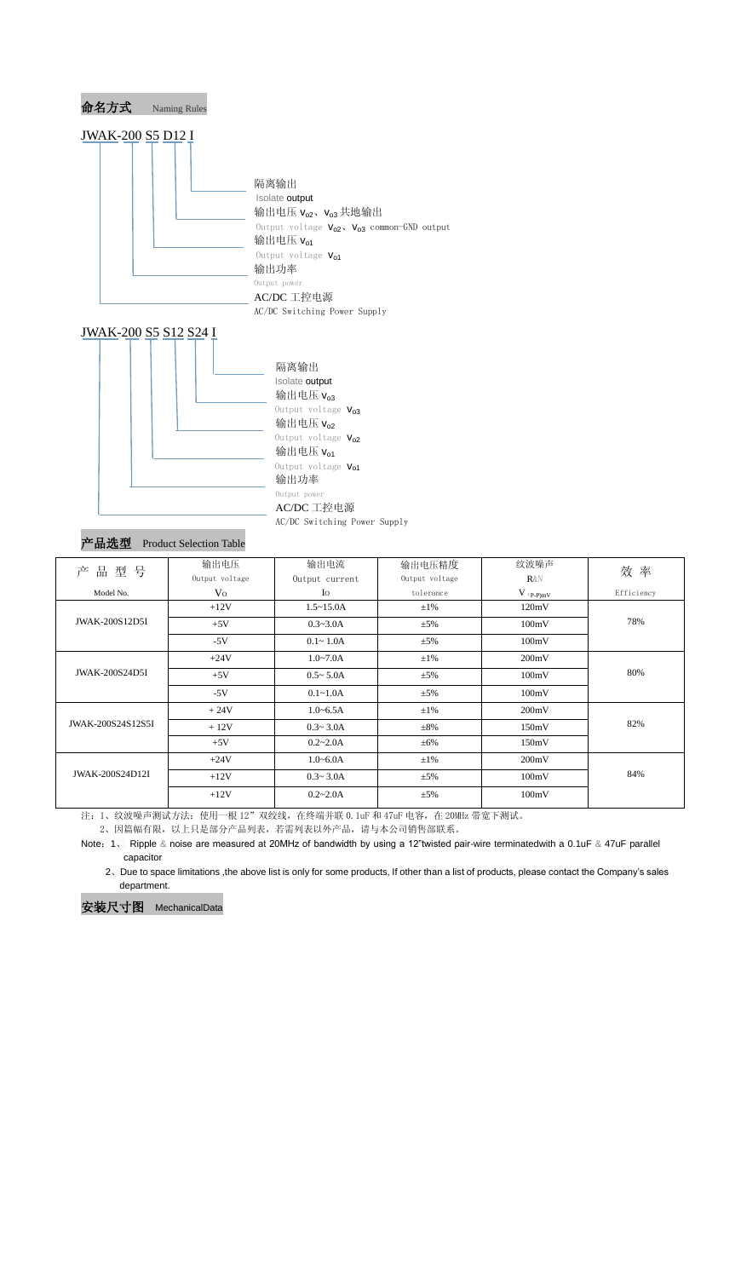

#### AC/DC 工控电源

AC/DC Switching Power Supply

# 产品选型 Product Selection Table

- 注: 1、纹波噪声测试方法: 使用一根 12"双绞线, 在终端并联 0.1uF 和 47uF 电容, 在 20MHz 带宽下测试。
	- 2、因篇幅有限,以上只是部分产品列表,若需列表以外产品,请与本公司销售部联系。
- Note:1、 Ripple & noise are measured at 20MHz of bandwidth by using a 12"twisted pair-wire terminatedwith a 0.1uF & 47uF parallel capacitor
	- 2、Due to space limitations ,the above list is only for some products, If other than a list of products, please contact the Company's sales department.

| 产<br>号<br>品<br>型       | 输出电压<br>Output voltage | 输出电流<br>Output current | 输出电压精度<br>Output voltage | 纹波噪声<br>$R\&N$ | 效率         |
|------------------------|------------------------|------------------------|--------------------------|----------------|------------|
| Model No.              | V <sub>O</sub>         | Io                     | tolerance                | $V$ (p-p)mV    | Efficiency |
| <b>JWAK-200S12D5I</b>  | $+12V$                 | $1.5 \sim 15.0$ A      | $\pm 1\%$                | 120mV          | 78%        |
|                        | $+5V$                  | $0.3 - 3.0A$           | $\pm$ 5%                 | 100mV          |            |
|                        | $-5V$                  | $0.1 - 1.0A$           | $\pm$ 5%                 | 100mV          |            |
| <b>JWAK-200S24D5I</b>  | $+24V$                 | $1.0 - 7.0A$           | $\pm 1\%$                | 200mV          | 80%        |
|                        | $+5V$                  | $0.5 - 5.0A$           | $\pm$ 5%                 | 100mV          |            |
|                        | $-5V$                  | $0.1 - 1.0A$           | $\pm$ 5%                 | 100mV          |            |
| JWAK-200S24S12S5I      | $+24V$                 | $1.0 - 6.5A$           | $\pm 1\%$                | 200mV          | 82%        |
|                        | $+12V$                 | $0.3 - 3.0A$           | $\pm 8\%$                | 150mV          |            |
|                        | $+5V$                  | $0.2 - 2.0A$           | $\pm 6\%$                | 150mV          |            |
| <b>JWAK-200S24D12I</b> | $+24V$                 | $1.0 - 6.0A$           | $\pm 1\%$                | 200mV          | 84%        |
|                        | $+12V$                 | $0.3 - 3.0A$           | $\pm$ 5%                 | 100mV          |            |
|                        | $+12V$                 | $0.2 - 2.0A$           | $\pm$ 5%                 | 100mV          |            |
|                        |                        |                        |                          |                |            |

安装尺寸图 MechanicalData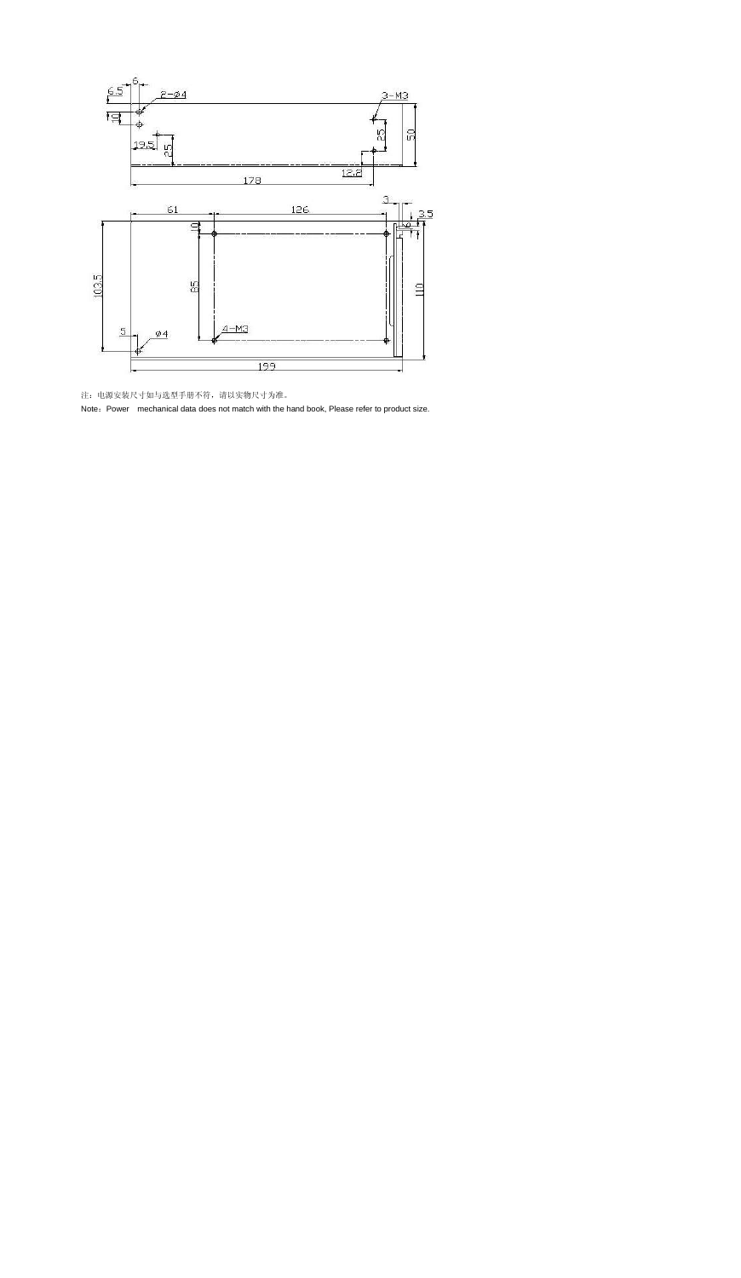

注:电源安装尺寸如与选型手册不符,请以实物尺寸为准。

Note: Power mechanical data does not match with the hand book, Please refer to product size.